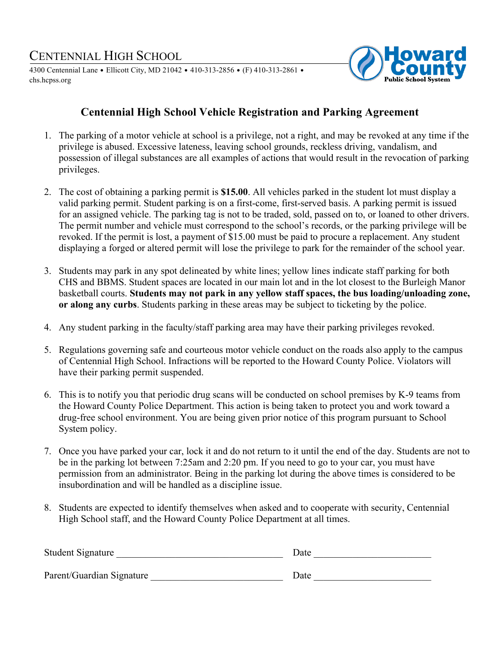# CENTENNIAL HIGH SCHOOL

4300 Centennial Lane <sup>=</sup> Ellicott City, MD 21042 <sup>=</sup> 410-313-2856 <sup>=</sup> (F) 410-313-2861 <sup>=</sup> chs.hcpss.org



## **Centennial High School Vehicle Registration and Parking Agreement**

- 1. The parking of a motor vehicle at school is a privilege, not a right, and may be revoked at any time if the privilege is abused. Excessive lateness, leaving school grounds, reckless driving, vandalism, and possession of illegal substances are all examples of actions that would result in the revocation of parking privileges.
- 2. The cost of obtaining a parking permit is **\$15.00**. All vehicles parked in the student lot must display a valid parking permit. Student parking is on a first-come, first-served basis. A parking permit is issued for an assigned vehicle. The parking tag is not to be traded, sold, passed on to, or loaned to other drivers. The permit number and vehicle must correspond to the school's records, or the parking privilege will be revoked. If the permit is lost, a payment of \$15.00 must be paid to procure a replacement. Any student displaying a forged or altered permit will lose the privilege to park for the remainder of the school year.
- 3. Students may park in any spot delineated by white lines; yellow lines indicate staff parking for both CHS and BBMS. Student spaces are located in our main lot and in the lot closest to the Burleigh Manor basketball courts. **Students may not park in any yellow staff spaces, the bus loading/unloading zone, or along any curbs**. Students parking in these areas may be subject to ticketing by the police.
- 4. Any student parking in the faculty/staff parking area may have their parking privileges revoked.
- 5. Regulations governing safe and courteous motor vehicle conduct on the roads also apply to the campus of Centennial High School. Infractions will be reported to the Howard County Police. Violators will have their parking permit suspended.
- 6. This is to notify you that periodic drug scans will be conducted on school premises by K-9 teams from the Howard County Police Department. This action is being taken to protect you and work toward a drug-free school environment. You are being given prior notice of this program pursuant to School System policy.
- 7. Once you have parked your car, lock it and do not return to it until the end of the day. Students are not to be in the parking lot between 7:25am and 2:20 pm. If you need to go to your car, you must have permission from an administrator. Being in the parking lot during the above times is considered to be insubordination and will be handled as a discipline issue.
- 8. Students are expected to identify themselves when asked and to cooperate with security, Centennial High School staff, and the Howard County Police Department at all times.

| Student Signature         | Date |
|---------------------------|------|
| Parent/Guardian Signature | Date |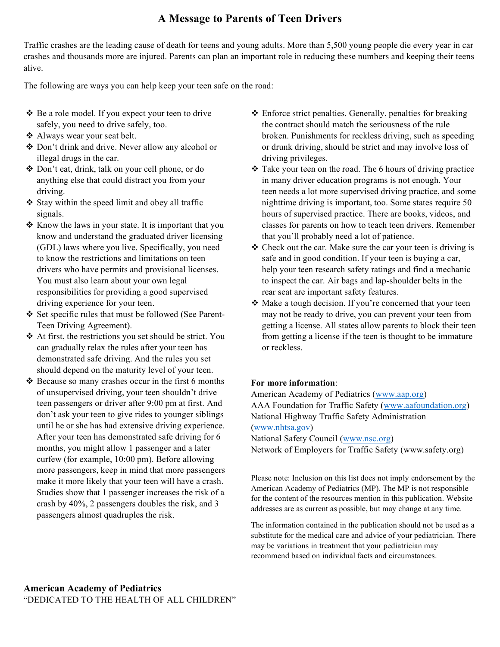### **A Message to Parents of Teen Drivers**

Traffic crashes are the leading cause of death for teens and young adults. More than 5,500 young people die every year in car crashes and thousands more are injured. Parents can plan an important role in reducing these numbers and keeping their teens alive.

The following are ways you can help keep your teen safe on the road:

- $\triangle$  Be a role model. If you expect your teen to drive safely, you need to drive safely, too.
- \* Always wear your seat belt.
- v Don't drink and drive. Never allow any alcohol or illegal drugs in the car.
- v Don't eat, drink, talk on your cell phone, or do anything else that could distract you from your driving.
- $\triangle$  Stay within the speed limit and obey all traffic signals.
- $\triangleleft$  Know the laws in your state. It is important that you know and understand the graduated driver licensing (GDL) laws where you live. Specifically, you need to know the restrictions and limitations on teen drivers who have permits and provisional licenses. You must also learn about your own legal responsibilities for providing a good supervised driving experience for your teen.
- v Set specific rules that must be followed (See Parent-Teen Driving Agreement).
- $\triangle$  At first, the restrictions you set should be strict. You can gradually relax the rules after your teen has demonstrated safe driving. And the rules you set should depend on the maturity level of your teen.
- $\triangle$  Because so many crashes occur in the first 6 months of unsupervised driving, your teen shouldn't drive teen passengers or driver after 9:00 pm at first. And don't ask your teen to give rides to younger siblings until he or she has had extensive driving experience. After your teen has demonstrated safe driving for 6 months, you might allow 1 passenger and a later curfew (for example, 10:00 pm). Before allowing more passengers, keep in mind that more passengers make it more likely that your teen will have a crash. Studies show that 1 passenger increases the risk of a crash by 40%, 2 passengers doubles the risk, and 3 passengers almost quadruples the risk.
- $\triangle$  Enforce strict penalties. Generally, penalties for breaking the contract should match the seriousness of the rule broken. Punishments for reckless driving, such as speeding or drunk driving, should be strict and may involve loss of driving privileges.
- $\triangle$  Take your teen on the road. The 6 hours of driving practice in many driver education programs is not enough. Your teen needs a lot more supervised driving practice, and some nighttime driving is important, too. Some states require 50 hours of supervised practice. There are books, videos, and classes for parents on how to teach teen drivers. Remember that you'll probably need a lot of patience.
- $\triangleleft$  Check out the car. Make sure the car your teen is driving is safe and in good condition. If your teen is buying a car, help your teen research safety ratings and find a mechanic to inspect the car. Air bags and lap-shoulder belts in the rear seat are important safety features.
- Make a tough decision. If you're concerned that your teen may not be ready to drive, you can prevent your teen from getting a license. All states allow parents to block their teen from getting a license if the teen is thought to be immature or reckless.

#### **For more information**:

American Academy of Pediatrics (www.aap.org) AAA Foundation for Traffic Safety (www.aafoundation.org) National Highway Traffic Safety Administration (www.nhtsa.gov) National Safety Council (www.nsc.org)

Network of Employers for Traffic Safety (www.safety.org)

Please note: Inclusion on this list does not imply endorsement by the American Academy of Pediatrics (MP). The MP is not responsible for the content of the resources mention in this publication. Website addresses are as current as possible, but may change at any time.

The information contained in the publication should not be used as a substitute for the medical care and advice of your pediatrician. There may be variations in treatment that your pediatrician may recommend based on individual facts and circumstances.